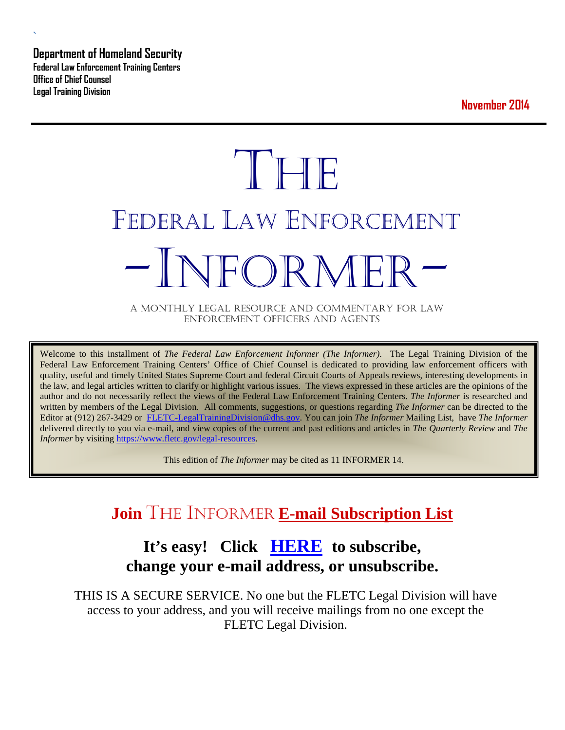**Department of Homeland Security Federal Law Enforcement Training Centers Office of Chief Counsel Legal Training Division** 

**`** 

**November 2014**

# **THE** FEDERAL LAW ENFORCEMENT NFOR MFI

A MONTHLY LEGAL RESOURCE AND COMMENTARY FOR LAW ENFORCEMENT OFFICERS AND AGENTS

Welcome to this installment of *The Federal Law Enforcement Informer (The Informer).* The Legal Training Division of the Federal Law Enforcement Training Centers' Office of Chief Counsel is dedicated to providing law enforcement officers with quality, useful and timely United States Supreme Court and federal Circuit Courts of Appeals reviews, interesting developments in the law, and legal articles written to clarify or highlight various issues. The views expressed in these articles are the opinions of the author and do not necessarily reflect the views of the Federal Law Enforcement Training Centers. *The Informer* is researched and written by members of the Legal Division. All comments, suggestions, or questions regarding *The Informer* can be directed to the Editor at (912) 267-3429 or [FLETC-LegalTrainingDivision@dhs.gov.](mailto:FLETC-LegalTrainingDivision@dhs.gov) You can join *The Informer* Mailing List, have *The Informer* delivered directly to you via e-mail, and view copies of the current and past editions and articles in *The Quarterly Review* and *The Informer* by visiting [https://www.fletc.gov/legal-resources.](https://www.fletc.gov/legal-resources)

This edition of *The Informer* may be cited as 11 INFORMER 14.

# **Join** THE INFORMER **E-mail Subscription List**

# **It's easy! Click [HERE](http://peach.ease.lsoft.com/scripts/wa.exe?SUBED1=fletclgd&A=1) to subscribe, change your e-mail address, or unsubscribe.**

THIS IS A SECURE SERVICE. No one but the FLETC Legal Division will have access to your address, and you will receive mailings from no one except the FLETC Legal Division.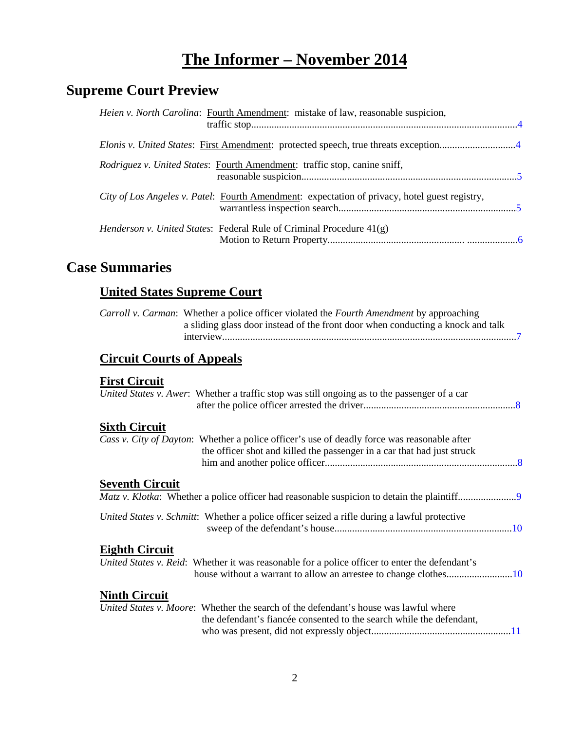# **The Informer – November 2014**

# **Supreme Court Preview**

| Heien v. North Carolina: Fourth Amendment: mistake of law, reasonable suspicion,              |  |
|-----------------------------------------------------------------------------------------------|--|
| Elonis v. United States: First Amendment: protected speech, true threats exception4           |  |
| Rodriguez v. United States: Fourth Amendment: traffic stop, canine sniff,                     |  |
| City of Los Angeles v. Patel: Fourth Amendment: expectation of privacy, hotel guest registry, |  |
| <i>Henderson v. United States:</i> Federal Rule of Criminal Procedure $41(g)$                 |  |

# **Case Summaries**

# **United States Supreme Court**

| <i>Carroll v. Carman:</i> Whether a police officer violated the <i>Fourth Amendment</i> by approaching |  |
|--------------------------------------------------------------------------------------------------------|--|
| a sliding glass door instead of the front door when conducting a knock and talk                        |  |
|                                                                                                        |  |

# **[Circuit Courts of Appeals](#page-6-1)**

#### **[First Circuit](#page-7-0)**

|                        | United States v. Awer: Whether a traffic stop was still ongoing as to the passenger of a car                                                                           |
|------------------------|------------------------------------------------------------------------------------------------------------------------------------------------------------------------|
| <b>Sixth Circuit</b>   |                                                                                                                                                                        |
|                        | Cass v. City of Dayton: Whether a police officer's use of deadly force was reasonable after<br>the officer shot and killed the passenger in a car that had just struck |
| <b>Seventh Circuit</b> |                                                                                                                                                                        |
|                        | United States v. Schmitt: Whether a police officer seized a rifle during a lawful protective                                                                           |
| <b>Eighth Circuit</b>  | United States v. Reid: Whether it was reasonable for a police officer to enter the defendant's                                                                         |
| <b>Ninth Circuit</b>   | United States v. Moore: Whether the search of the defendant's house was lawful where                                                                                   |
|                        | the defendant's fiancée consented to the search while the defendant,                                                                                                   |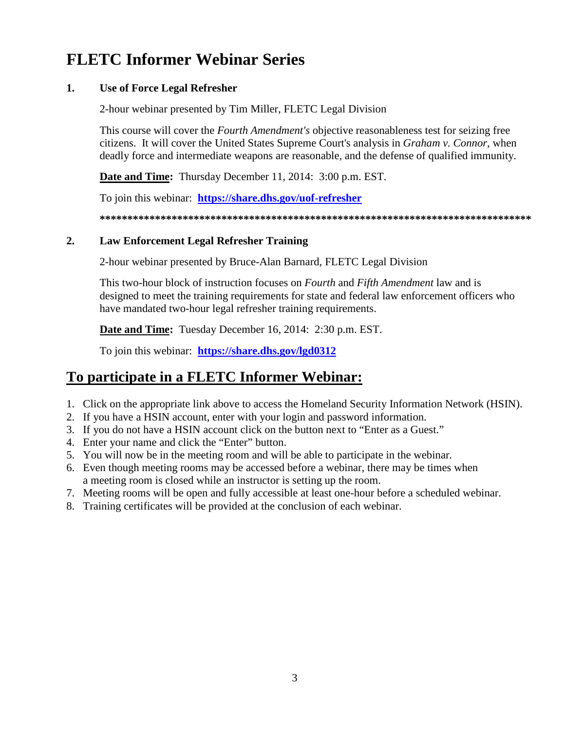# **FLETC Informer Webinar Series**

#### **1. Use of Force Legal Refresher**

2-hour webinar presented by Tim Miller, FLETC Legal Division

This course will cover the *Fourth Amendment's* objective reasonableness test for seizing free citizens. It will cover the United States Supreme Court's analysis in *Graham v. Connor*, when deadly force and intermediate weapons are reasonable, and the defense of qualified immunity.

**Date and Time:** Thursday December 11, 2014: 3:00 p.m. EST.

To join this webinar: **<https://share.dhs.gov/uof-refresher>**

**\*\*\*\*\*\*\*\*\*\*\*\*\*\*\*\*\*\*\*\*\*\*\*\*\*\*\*\*\*\*\*\*\*\*\*\*\*\*\*\*\*\*\*\*\*\*\*\*\*\*\*\*\*\*\*\*\*\*\*\*\*\*\*\*\*\*\*\*\*\*\*\*\*\*\*\*\*\***

#### **2. Law Enforcement Legal Refresher Training**

2-hour webinar presented by Bruce-Alan Barnard, FLETC Legal Division

This two-hour block of instruction focuses on *Fourth* and *Fifth Amendment* law and is designed to meet the training requirements for state and federal law enforcement officers who have mandated two-hour legal refresher training requirements.

**Date and Time:** Tuesday December 16, 2014: 2:30 p.m. EST.

To join this webinar: **<https://share.dhs.gov/lgd0312>**

# **To participate in a FLETC Informer Webinar:**

- 1. Click on the appropriate link above to access the Homeland Security Information Network (HSIN).
- 2. If you have a HSIN account, enter with your login and password information.
- 3. If you do not have a HSIN account click on the button next to "Enter as a Guest."
- 4. Enter your name and click the "Enter" button.
- 5. You will now be in the meeting room and will be able to participate in the webinar.
- 6. Even though meeting rooms may be accessed before a webinar, there may be times when a meeting room is closed while an instructor is setting up the room.
- 7. Meeting rooms will be open and fully accessible at least one-hour before a scheduled webinar.
- 8. Training certificates will be provided at the conclusion of each webinar.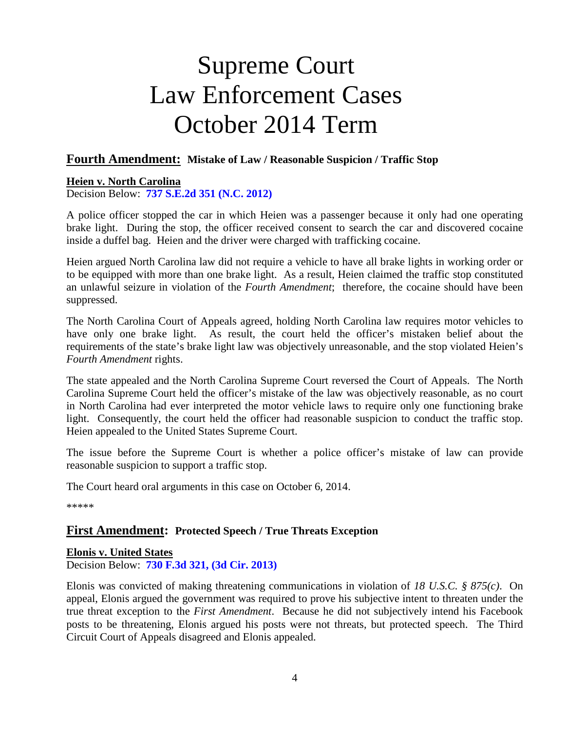# Supreme Court Law Enforcement Cases October 2014 Term

#### **Fourth Amendment: Mistake of Law / Reasonable Suspicion / Traffic Stop**

#### <span id="page-3-0"></span>**Heien v. North Carolina**

Decision Below: **[737 S.E.2d 351 \(N.C. 2012\)](http://appellate.nccourts.org/opinions/?c=1&pdf=29506)**

A police officer stopped the car in which Heien was a passenger because it only had one operating brake light. During the stop, the officer received consent to search the car and discovered cocaine inside a duffel bag. Heien and the driver were charged with trafficking cocaine.

Heien argued North Carolina law did not require a vehicle to have all brake lights in working order or to be equipped with more than one brake light. As a result, Heien claimed the traffic stop constituted an unlawful seizure in violation of the *Fourth Amendment*; therefore, the cocaine should have been suppressed.

The North Carolina Court of Appeals agreed, holding North Carolina law requires motor vehicles to have only one brake light. As result, the court held the officer's mistaken belief about the requirements of the state's brake light law was objectively unreasonable, and the stop violated Heien's *Fourth Amendment* rights.

The state appealed and the North Carolina Supreme Court reversed the Court of Appeals. The North Carolina Supreme Court held the officer's mistake of the law was objectively reasonable, as no court in North Carolina had ever interpreted the motor vehicle laws to require only one functioning brake light. Consequently, the court held the officer had reasonable suspicion to conduct the traffic stop. Heien appealed to the United States Supreme Court.

The issue before the Supreme Court is whether a police officer's mistake of law can provide reasonable suspicion to support a traffic stop.

The Court heard oral arguments in this case on October 6, 2014.

\*\*\*\*\*

#### **First Amendment: Protected Speech / True Threats Exception**

#### <span id="page-3-1"></span>**Elonis v. United States**

Decision Below: **[730 F.3d 321, \(3d Cir. 2013\)](http://www2.ca3.uscourts.gov/opinarch/123798p.pdf)**

Elonis was convicted of making threatening communications in violation of *18 U.S.C. § 875(c)*. On appeal, Elonis argued the government was required to prove his subjective intent to threaten under the true threat exception to the *First Amendment*. Because he did not subjectively intend his Facebook posts to be threatening, Elonis argued his posts were not threats, but protected speech. The Third Circuit Court of Appeals disagreed and Elonis appealed.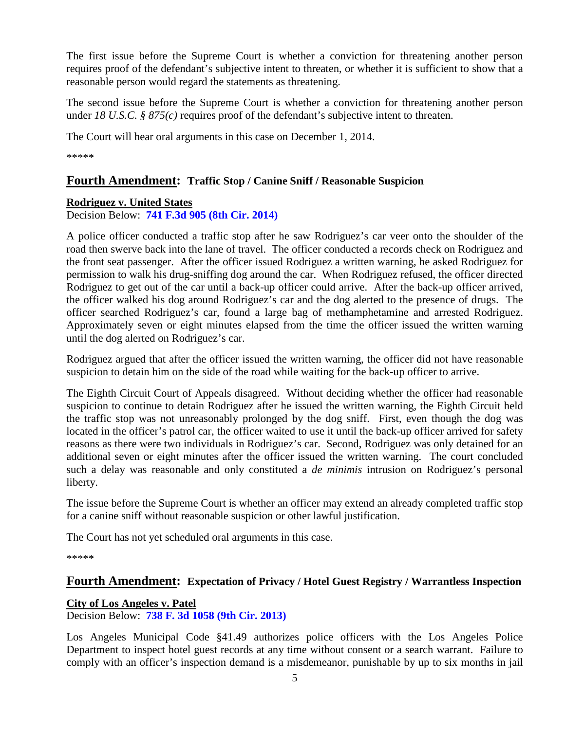The first issue before the Supreme Court is whether a conviction for threatening another person requires proof of the defendant's subjective intent to threaten, or whether it is sufficient to show that a reasonable person would regard the statements as threatening.

The second issue before the Supreme Court is whether a conviction for threatening another person under *18 U.S.C.* § 875(c) requires proof of the defendant's subjective intent to threaten.

The Court will hear oral arguments in this case on December 1, 2014.

\*\*\*\*\*

#### **Fourth Amendment: Traffic Stop / Canine Sniff / Reasonable Suspicion**

#### <span id="page-4-0"></span>**Rodriguez v. United States**

Decision Below: **[741 F.3d 905 \(8th Cir. 2014\)](http://sblog.s3.amazonaws.com/wp-content/uploads/2014/10/13-9972-opbelow.pdf)**

A police officer conducted a traffic stop after he saw Rodriguez's car veer onto the shoulder of the road then swerve back into the lane of travel. The officer conducted a records check on Rodriguez and the front seat passenger. After the officer issued Rodriguez a written warning, he asked Rodriguez for permission to walk his drug-sniffing dog around the car. When Rodriguez refused, the officer directed Rodriguez to get out of the car until a back-up officer could arrive. After the back-up officer arrived, the officer walked his dog around Rodriguez's car and the dog alerted to the presence of drugs. The officer searched Rodriguez's car, found a large bag of methamphetamine and arrested Rodriguez. Approximately seven or eight minutes elapsed from the time the officer issued the written warning until the dog alerted on Rodriguez's car.

Rodriguez argued that after the officer issued the written warning, the officer did not have reasonable suspicion to detain him on the side of the road while waiting for the back-up officer to arrive.

The Eighth Circuit Court of Appeals disagreed. Without deciding whether the officer had reasonable suspicion to continue to detain Rodriguez after he issued the written warning, the Eighth Circuit held the traffic stop was not unreasonably prolonged by the dog sniff. First, even though the dog was located in the officer's patrol car, the officer waited to use it until the back-up officer arrived for safety reasons as there were two individuals in Rodriguez's car. Second, Rodriguez was only detained for an additional seven or eight minutes after the officer issued the written warning. The court concluded such a delay was reasonable and only constituted a *de minimis* intrusion on Rodriguez's personal liberty.

The issue before the Supreme Court is whether an officer may extend an already completed traffic stop for a canine sniff without reasonable suspicion or other lawful justification.

The Court has not yet scheduled oral arguments in this case.

\*\*\*\*\*

#### **Fourth Amendment: Expectation of Privacy / Hotel Guest Registry / Warrantless Inspection**

#### <span id="page-4-1"></span>**City of Los Angeles v. Patel**

Decision Below: **[738 F. 3d 1058 \(9th Cir. 2013\)](http://cdn.ca9.uscourts.gov/datastore/opinions/2013/12/24/08-56567.pdf)**

Los Angeles Municipal Code §41.49 authorizes police officers with the Los Angeles Police Department to inspect hotel guest records at any time without consent or a search warrant. Failure to comply with an officer's inspection demand is a misdemeanor, punishable by up to six months in jail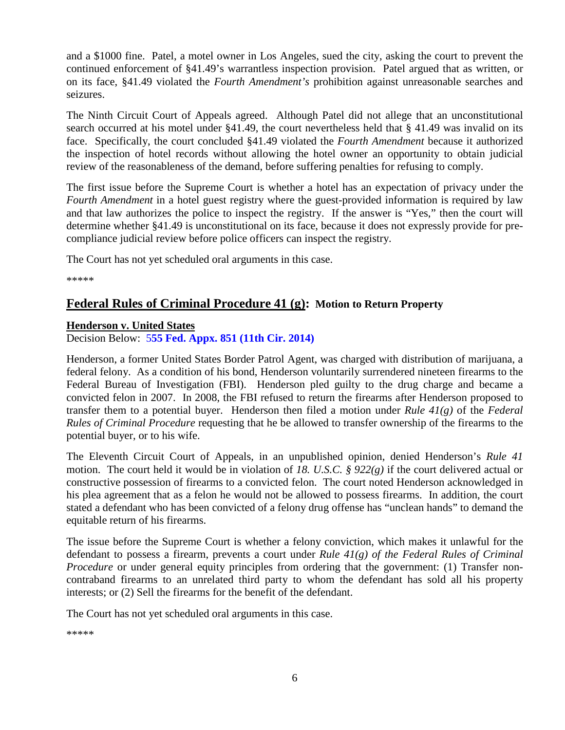and a \$1000 fine. Patel, a motel owner in Los Angeles, sued the city, asking the court to prevent the continued enforcement of §41.49's warrantless inspection provision. Patel argued that as written, or on its face, §41.49 violated the *Fourth Amendment's* prohibition against unreasonable searches and seizures.

The Ninth Circuit Court of Appeals agreed. Although Patel did not allege that an unconstitutional search occurred at his motel under §41.49, the court nevertheless held that § 41.49 was invalid on its face. Specifically, the court concluded §41.49 violated the *Fourth Amendment* because it authorized the inspection of hotel records without allowing the hotel owner an opportunity to obtain judicial review of the reasonableness of the demand, before suffering penalties for refusing to comply.

The first issue before the Supreme Court is whether a hotel has an expectation of privacy under the *Fourth Amendment* in a hotel guest registry where the guest-provided information is required by law and that law authorizes the police to inspect the registry. If the answer is "Yes," then the court will determine whether §41.49 is unconstitutional on its face, because it does not expressly provide for precompliance judicial review before police officers can inspect the registry.

The Court has not yet scheduled oral arguments in this case.

\*\*\*\*\*

#### **Federal Rules of Criminal Procedure 41 (g): Motion to Return Property**

#### <span id="page-5-0"></span>**Henderson v. United States**

Decision Below: 5**[55 Fed. Appx. 851 \(11th Cir. 2014\)](http://sblog.s3.amazonaws.com/wp-content/uploads/2014/09/11th-12-14628.pdf)**

Henderson, a former United States Border Patrol Agent, was charged with distribution of marijuana, a federal felony. As a condition of his bond, Henderson voluntarily surrendered nineteen firearms to the Federal Bureau of Investigation (FBI). Henderson pled guilty to the drug charge and became a convicted felon in 2007. In 2008, the FBI refused to return the firearms after Henderson proposed to transfer them to a potential buyer. Henderson then filed a motion under *Rule 41(g)* of the *Federal Rules of Criminal Procedure* requesting that he be allowed to transfer ownership of the firearms to the potential buyer, or to his wife.

The Eleventh Circuit Court of Appeals, in an unpublished opinion, denied Henderson's *Rule 41* motion. The court held it would be in violation of *18. U.S.C. § 922(g)* if the court delivered actual or constructive possession of firearms to a convicted felon. The court noted Henderson acknowledged in his plea agreement that as a felon he would not be allowed to possess firearms. In addition, the court stated a defendant who has been convicted of a felony drug offense has "unclean hands" to demand the equitable return of his firearms.

The issue before the Supreme Court is whether a felony conviction, which makes it unlawful for the defendant to possess a firearm, prevents a court under *Rule 41(g) of the Federal Rules of Criminal Procedure* or under general equity principles from ordering that the government: (1) Transfer noncontraband firearms to an unrelated third party to whom the defendant has sold all his property interests; or (2) Sell the firearms for the benefit of the defendant.

The Court has not yet scheduled oral arguments in this case.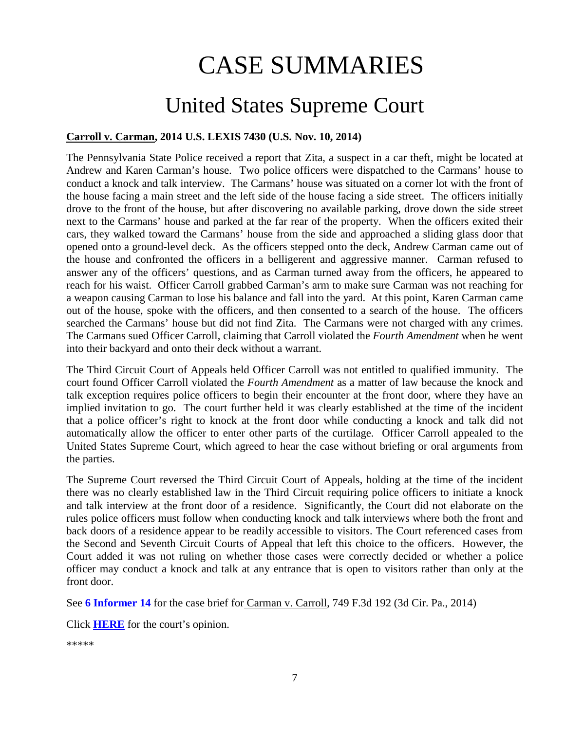# CASE SUMMARIES

# United States Supreme Court

#### <span id="page-6-1"></span><span id="page-6-0"></span>**Carroll v. Carman, 2014 U.S. LEXIS 7430 (U.S. Nov. 10, 2014)**

The Pennsylvania State Police received a report that Zita, a suspect in a car theft, might be located at Andrew and Karen Carman's house. Two police officers were dispatched to the Carmans' house to conduct a knock and talk interview. The Carmans' house was situated on a corner lot with the front of the house facing a main street and the left side of the house facing a side street. The officers initially drove to the front of the house, but after discovering no available parking, drove down the side street next to the Carmans' house and parked at the far rear of the property. When the officers exited their cars, they walked toward the Carmans' house from the side and approached a sliding glass door that opened onto a ground-level deck. As the officers stepped onto the deck, Andrew Carman came out of the house and confronted the officers in a belligerent and aggressive manner. Carman refused to answer any of the officers' questions, and as Carman turned away from the officers, he appeared to reach for his waist. Officer Carroll grabbed Carman's arm to make sure Carman was not reaching for a weapon causing Carman to lose his balance and fall into the yard. At this point, Karen Carman came out of the house, spoke with the officers, and then consented to a search of the house. The officers searched the Carmans' house but did not find Zita. The Carmans were not charged with any crimes. The Carmans sued Officer Carroll, claiming that Carroll violated the *Fourth Amendment* when he went into their backyard and onto their deck without a warrant.

The Third Circuit Court of Appeals held Officer Carroll was not entitled to qualified immunity. The court found Officer Carroll violated the *Fourth Amendment* as a matter of law because the knock and talk exception requires police officers to begin their encounter at the front door, where they have an implied invitation to go. The court further held it was clearly established at the time of the incident that a police officer's right to knock at the front door while conducting a knock and talk did not automatically allow the officer to enter other parts of the curtilage. Officer Carroll appealed to the United States Supreme Court, which agreed to hear the case without briefing or oral arguments from the parties.

The Supreme Court reversed the Third Circuit Court of Appeals, holding at the time of the incident there was no clearly established law in the Third Circuit requiring police officers to initiate a knock and talk interview at the front door of a residence. Significantly, the Court did not elaborate on the rules police officers must follow when conducting knock and talk interviews where both the front and back doors of a residence appear to be readily accessible to visitors. The Court referenced cases from the Second and Seventh Circuit Courts of Appeal that left this choice to the officers. However, the Court added it was not ruling on whether those cases were correctly decided or whether a police officer may conduct a knock and talk at any entrance that is open to visitors rather than only at the front door.

See **[6 Informer 14](https://www.fletc.gov/sites/default/files/imported_files/training/programs/legal-division/the-informer/informer-editions-2014/6Informer14.pdf)** for the case brief for Carman v. Carroll, 749 F.3d 192 (3d Cir. Pa., 2014)

Click **[HERE](http://www.supremecourt.gov/opinions/14pdf/14-212_c07d.pdf)** for the court's opinion.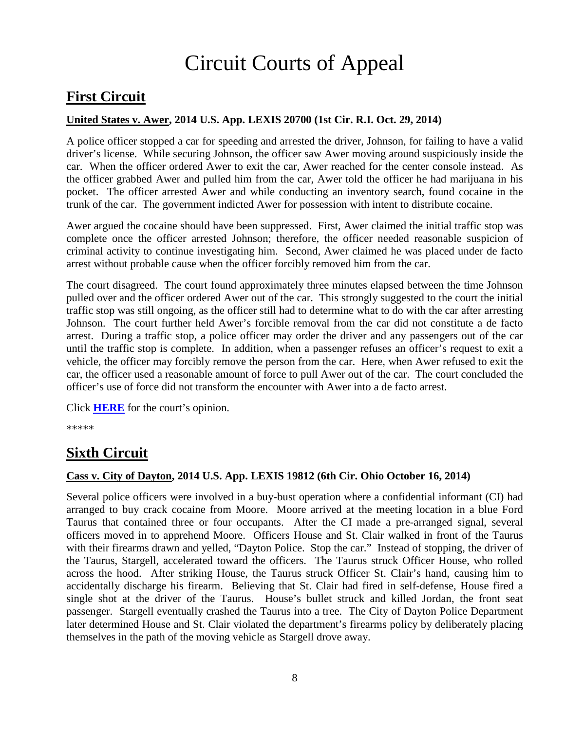# Circuit Courts of Appeal

# <span id="page-7-0"></span>**First Circuit**

#### <span id="page-7-1"></span>**United States v. Awer, 2014 U.S. App. LEXIS 20700 (1st Cir. R.I. Oct. 29, 2014)**

A police officer stopped a car for speeding and arrested the driver, Johnson, for failing to have a valid driver's license. While securing Johnson, the officer saw Awer moving around suspiciously inside the car. When the officer ordered Awer to exit the car, Awer reached for the center console instead. As the officer grabbed Awer and pulled him from the car, Awer told the officer he had marijuana in his pocket. The officer arrested Awer and while conducting an inventory search, found cocaine in the trunk of the car. The government indicted Awer for possession with intent to distribute cocaine.

Awer argued the cocaine should have been suppressed. First, Awer claimed the initial traffic stop was complete once the officer arrested Johnson; therefore, the officer needed reasonable suspicion of criminal activity to continue investigating him. Second, Awer claimed he was placed under de facto arrest without probable cause when the officer forcibly removed him from the car.

The court disagreed. The court found approximately three minutes elapsed between the time Johnson pulled over and the officer ordered Awer out of the car. This strongly suggested to the court the initial traffic stop was still ongoing, as the officer still had to determine what to do with the car after arresting Johnson. The court further held Awer's forcible removal from the car did not constitute a de facto arrest. During a traffic stop, a police officer may order the driver and any passengers out of the car until the traffic stop is complete. In addition, when a passenger refuses an officer's request to exit a vehicle, the officer may forcibly remove the person from the car. Here, when Awer refused to exit the car, the officer used a reasonable amount of force to pull Awer out of the car. The court concluded the officer's use of force did not transform the encounter with Awer into a de facto arrest.

Click **[HERE](http://cases.justia.com/federal/appellate-courts/ca1/13-2068/13-2068-2014-10-29.pdf?ts=1414611006)** for the court's opinion.

\*\*\*\*\*

# <span id="page-7-2"></span>**Sixth Circuit**

#### <span id="page-7-3"></span>**Cass v. City of Dayton, 2014 U.S. App. LEXIS 19812 (6th Cir. Ohio October 16, 2014)**

Several police officers were involved in a buy-bust operation where a confidential informant (CI) had arranged to buy crack cocaine from Moore. Moore arrived at the meeting location in a blue Ford Taurus that contained three or four occupants. After the CI made a pre-arranged signal, several officers moved in to apprehend Moore. Officers House and St. Clair walked in front of the Taurus with their firearms drawn and yelled, "Dayton Police. Stop the car." Instead of stopping, the driver of the Taurus, Stargell, accelerated toward the officers. The Taurus struck Officer House, who rolled across the hood. After striking House, the Taurus struck Officer St. Clair's hand, causing him to accidentally discharge his firearm. Believing that St. Clair had fired in self-defense, House fired a single shot at the driver of the Taurus. House's bullet struck and killed Jordan, the front seat passenger. Stargell eventually crashed the Taurus into a tree. The City of Dayton Police Department later determined House and St. Clair violated the department's firearms policy by deliberately placing themselves in the path of the moving vehicle as Stargell drove away.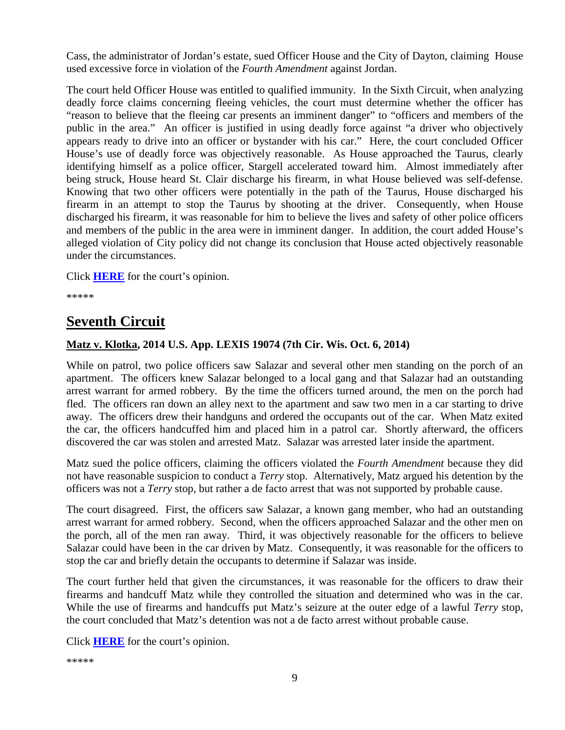Cass, the administrator of Jordan's estate, sued Officer House and the City of Dayton, claiming House used excessive force in violation of the *Fourth Amendment* against Jordan.

The court held Officer House was entitled to qualified immunity. In the Sixth Circuit, when analyzing deadly force claims concerning fleeing vehicles, the court must determine whether the officer has "reason to believe that the fleeing car presents an imminent danger" to "officers and members of the public in the area." An officer is justified in using deadly force against "a driver who objectively appears ready to drive into an officer or bystander with his car." Here, the court concluded Officer House's use of deadly force was objectively reasonable. As House approached the Taurus, clearly identifying himself as a police officer, Stargell accelerated toward him. Almost immediately after being struck, House heard St. Clair discharge his firearm, in what House believed was self-defense. Knowing that two other officers were potentially in the path of the Taurus, House discharged his firearm in an attempt to stop the Taurus by shooting at the driver. Consequently, when House discharged his firearm, it was reasonable for him to believe the lives and safety of other police officers and members of the public in the area were in imminent danger. In addition, the court added House's alleged violation of City policy did not change its conclusion that House acted objectively reasonable under the circumstances.

Click **[HERE](http://cases.justia.com/federal/appellate-courts/ca6/13-4409/13-4409-2014-10-16.pdf?ts=1413469855)** for the court's opinion.

\*\*\*\*\*

## **Seventh Circuit**

#### <span id="page-8-0"></span>**Matz v. Klotka, 2014 U.S. App. LEXIS 19074 (7th Cir. Wis. Oct. 6, 2014)**

While on patrol, two police officers saw Salazar and several other men standing on the porch of an apartment. The officers knew Salazar belonged to a local gang and that Salazar had an outstanding arrest warrant for armed robbery. By the time the officers turned around, the men on the porch had fled. The officers ran down an alley next to the apartment and saw two men in a car starting to drive away. The officers drew their handguns and ordered the occupants out of the car. When Matz exited the car, the officers handcuffed him and placed him in a patrol car. Shortly afterward, the officers discovered the car was stolen and arrested Matz. Salazar was arrested later inside the apartment.

Matz sued the police officers, claiming the officers violated the *Fourth Amendment* because they did not have reasonable suspicion to conduct a *Terry* stop. Alternatively, Matz argued his detention by the officers was not a *Terry* stop, but rather a de facto arrest that was not supported by probable cause.

The court disagreed. First, the officers saw Salazar, a known gang member, who had an outstanding arrest warrant for armed robbery. Second, when the officers approached Salazar and the other men on the porch, all of the men ran away. Third, it was objectively reasonable for the officers to believe Salazar could have been in the car driven by Matz. Consequently, it was reasonable for the officers to stop the car and briefly detain the occupants to determine if Salazar was inside.

The court further held that given the circumstances, it was reasonable for the officers to draw their firearms and handcuff Matz while they controlled the situation and determined who was in the car. While the use of firearms and handcuffs put Matz's seizure at the outer edge of a lawful *Terry* stop, the court concluded that Matz's detention was not a de facto arrest without probable cause.

Click **[HERE](http://cases.justia.com/federal/appellate-courts/ca7/12-1674/12-1674-2014-10-06.pdf?ts=1412622665)** for the court's opinion.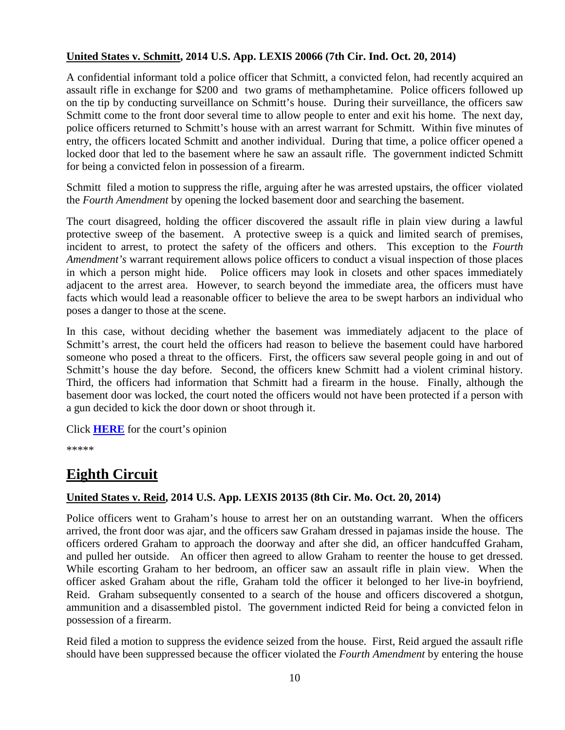#### <span id="page-9-0"></span>**United States v. Schmitt, 2014 U.S. App. LEXIS 20066 (7th Cir. Ind. Oct. 20, 2014)**

A confidential informant told a police officer that Schmitt, a convicted felon, had recently acquired an assault rifle in exchange for \$200 and two grams of methamphetamine. Police officers followed up on the tip by conducting surveillance on Schmitt's house. During their surveillance, the officers saw Schmitt come to the front door several time to allow people to enter and exit his home. The next day, police officers returned to Schmitt's house with an arrest warrant for Schmitt. Within five minutes of entry, the officers located Schmitt and another individual. During that time, a police officer opened a locked door that led to the basement where he saw an assault rifle. The government indicted Schmitt for being a convicted felon in possession of a firearm.

Schmitt filed a motion to suppress the rifle, arguing after he was arrested upstairs, the officer violated the *Fourth Amendment* by opening the locked basement door and searching the basement.

The court disagreed, holding the officer discovered the assault rifle in plain view during a lawful protective sweep of the basement. A protective sweep is a quick and limited search of premises, incident to arrest, to protect the safety of the officers and others. This exception to the *Fourth Amendment's* warrant requirement allows police officers to conduct a visual inspection of those places in which a person might hide. Police officers may look in closets and other spaces immediately adjacent to the arrest area. However, to search beyond the immediate area, the officers must have facts which would lead a reasonable officer to believe the area to be swept harbors an individual who poses a danger to those at the scene.

In this case, without deciding whether the basement was immediately adjacent to the place of Schmitt's arrest, the court held the officers had reason to believe the basement could have harbored someone who posed a threat to the officers. First, the officers saw several people going in and out of Schmitt's house the day before. Second, the officers knew Schmitt had a violent criminal history. Third, the officers had information that Schmitt had a firearm in the house. Finally, although the basement door was locked, the court noted the officers would not have been protected if a person with a gun decided to kick the door down or shoot through it.

Click **[HERE](http://cases.justia.com/federal/appellate-courts/ca7/13-2894/13-2894-2014-10-20.pdf?ts=1413828033)** for the court's opinion

\*\*\*\*\*

# <span id="page-9-1"></span>**Eighth Circuit**

#### <span id="page-9-2"></span>**United States v. Reid, 2014 U.S. App. LEXIS 20135 (8th Cir. Mo. Oct. 20, 2014)**

Police officers went to Graham's house to arrest her on an outstanding warrant. When the officers arrived, the front door was ajar, and the officers saw Graham dressed in pajamas inside the house. The officers ordered Graham to approach the doorway and after she did, an officer handcuffed Graham, and pulled her outside. An officer then agreed to allow Graham to reenter the house to get dressed. While escorting Graham to her bedroom, an officer saw an assault rifle in plain view. When the officer asked Graham about the rifle, Graham told the officer it belonged to her live-in boyfriend, Reid. Graham subsequently consented to a search of the house and officers discovered a shotgun, ammunition and a disassembled pistol. The government indicted Reid for being a convicted felon in possession of a firearm.

Reid filed a motion to suppress the evidence seized from the house. First, Reid argued the assault rifle should have been suppressed because the officer violated the *Fourth Amendment* by entering the house